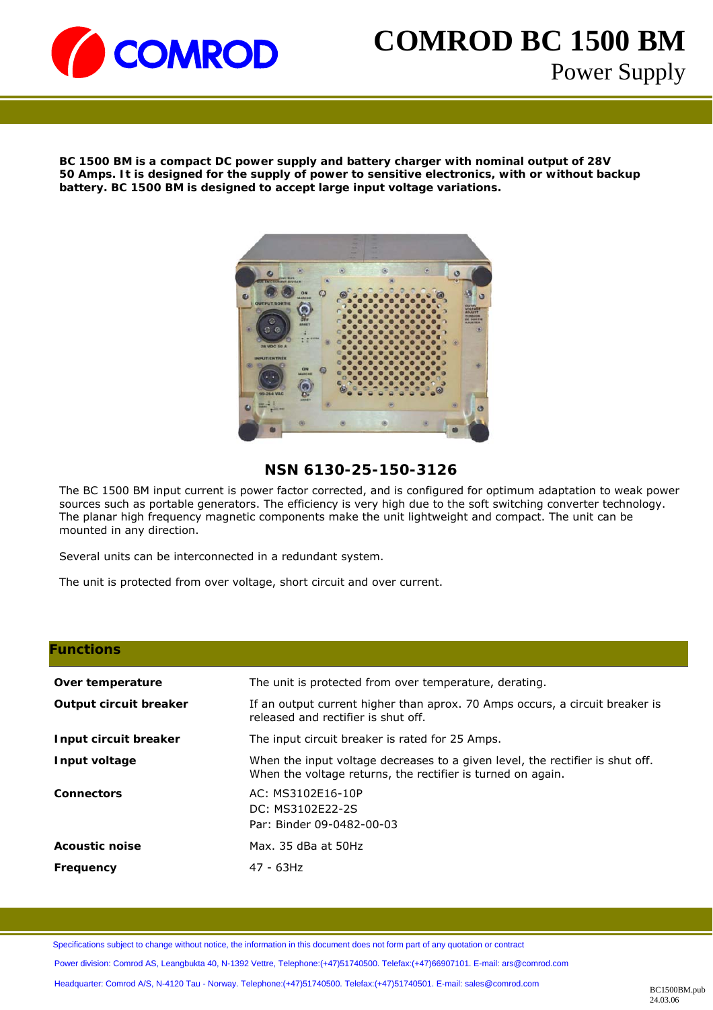

# **COMROD BC 1500 BM**  Power Supply

BC 1500 BM is a compact DC power supply and battery charger with nominal output of 28V **50 Amps. It is designed for the supply of power** to sensitive electronics, with or without backup **battery. BC 1500 BM is designed to accept large input voltage variations.** 



### **NSN 6130-25-150-3126**

The BC 1500 BM input current is power factor corrected, and is configured for optimum adaptation to weak power sources such as portable generators. The efficiency is very high due to the soft switching converter technology. The planar high frequency magnetic components make the unit lightweight and compact. The unit can be mounted in any direction.

Several units can be interconnected in a redundant system.

The unit is protected from over voltage, short circuit and over current.

#### **Functions**

| Over temperature              | The unit is protected from over temperature, derating.                                                                                       |  |
|-------------------------------|----------------------------------------------------------------------------------------------------------------------------------------------|--|
| <b>Output circuit breaker</b> | If an output current higher than aprox. 70 Amps occurs, a circuit breaker is<br>released and rectifier is shut off.                          |  |
| Input circuit breaker         | The input circuit breaker is rated for 25 Amps.                                                                                              |  |
| Input voltage                 | When the input voltage decreases to a given level, the rectifier is shut off.<br>When the voltage returns, the rectifier is turned on again. |  |
| <b>Connectors</b>             | AC: MS3102E16-10P<br>DC: MS3102E22-2S<br>Par: Binder 09-0482-00-03                                                                           |  |
| <b>Acoustic noise</b>         | Max. 35 dBa at 50Hz                                                                                                                          |  |
| Frequency                     | 47 - 63Hz                                                                                                                                    |  |

Specifications subject to change without notice, the information in this document does not form part of any quotation or contract Power division: Comrod AS, Leangbukta 40, N-1392 Vettre, Telephone:(+47)51740500. Telefax:(+47)66907101. E-mail: ars@comrod.com Headquarter: Comrod A/S, N-4120 Tau - Norway. Telephone:(+47)51740500. Telefax:(+47)51740501. E-mail: sales@comrod.com